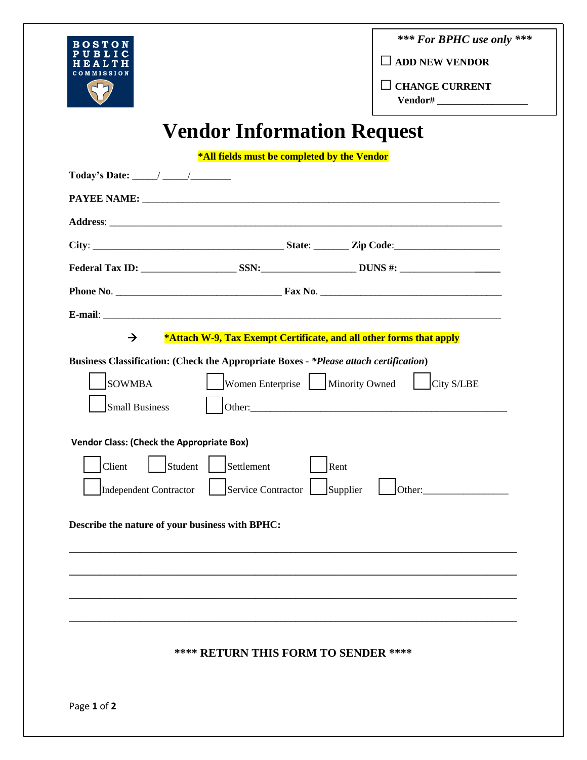

*\*\*\* For BPHC use only \*\*\**

**□ ADD NEW VENDOR**

**□ CHANGE CURRENT**

 **Vendor# \_\_\_\_\_\_\_\_\_\_\_\_\_\_\_\_\_\_**

## **Vendor Information Request**

**\*All fields must be completed by the Vendor**

| Today's Date: $\frac{\qquad \qquad }{\qquad \qquad }$                                                                                                                                                                                                                                     |                                      |      |                                                                                                                                                                                                                                                                                                           |
|-------------------------------------------------------------------------------------------------------------------------------------------------------------------------------------------------------------------------------------------------------------------------------------------|--------------------------------------|------|-----------------------------------------------------------------------------------------------------------------------------------------------------------------------------------------------------------------------------------------------------------------------------------------------------------|
|                                                                                                                                                                                                                                                                                           |                                      |      |                                                                                                                                                                                                                                                                                                           |
|                                                                                                                                                                                                                                                                                           |                                      |      |                                                                                                                                                                                                                                                                                                           |
|                                                                                                                                                                                                                                                                                           |                                      |      |                                                                                                                                                                                                                                                                                                           |
|                                                                                                                                                                                                                                                                                           |                                      |      |                                                                                                                                                                                                                                                                                                           |
|                                                                                                                                                                                                                                                                                           |                                      |      |                                                                                                                                                                                                                                                                                                           |
|                                                                                                                                                                                                                                                                                           |                                      |      |                                                                                                                                                                                                                                                                                                           |
| $\rightarrow$<br>*Attach W-9, Tax Exempt Certificate, and all other forms that apply                                                                                                                                                                                                      |                                      |      |                                                                                                                                                                                                                                                                                                           |
| Business Classification: (Check the Appropriate Boxes - *Please attach certification)<br><b>SOWMBA</b><br>Small Business<br><b>Vendor Class: (Check the Appropriate Box)</b><br>Student Settlement<br>Client<br>Independent Contractor<br>Describe the nature of your business with BPHC: | Service Contractor   Supplier        | Rent | Women Enterprise   Minority Owned   City S/LBE<br>Other: Changes of the Community of the Community of the Community of the Community of the Community of the Community of the Community of the Community of the Community of the Community of the Community of the Community of<br>Other: $\qquad \qquad$ |
|                                                                                                                                                                                                                                                                                           | **** RETURN THIS FORM TO SENDER **** |      |                                                                                                                                                                                                                                                                                                           |